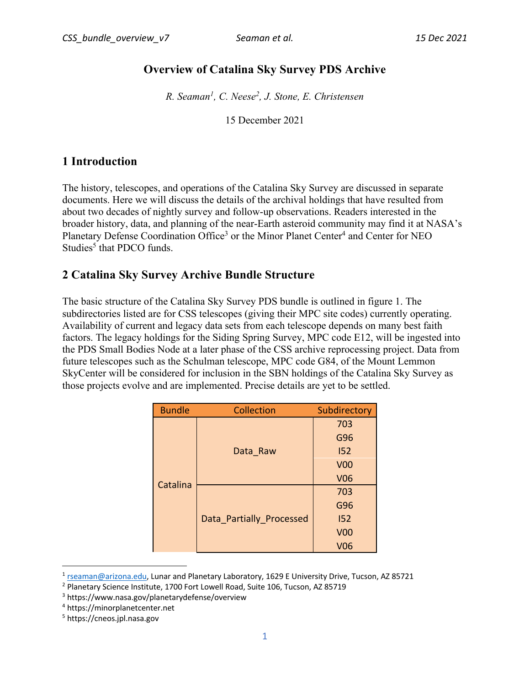# **Overview of Catalina Sky Survey PDS Archive**

*R. Seaman<sup>1</sup>, C. Neese<sup>2</sup> , J. Stone, E. Christensen*

15 December 2021

# **1 Introduction**

The history, telescopes, and operations of the Catalina Sky Survey are discussed in separate documents. Here we will discuss the details of the archival holdings that have resulted from about two decades of nightly survey and follow-up observations. Readers interested in the broader history, data, and planning of the near-Earth asteroid community may find it at NASA's Planetary Defense Coordination Office<sup>3</sup> or the Minor Planet Center<sup>4</sup> and Center for NEO Studies<sup>5</sup> that PDCO funds.

### **2 Catalina Sky Survey Archive Bundle Structure**

The basic structure of the Catalina Sky Survey PDS bundle is outlined in figure 1. The subdirectories listed are for CSS telescopes (giving their MPC site codes) currently operating. Availability of current and legacy data sets from each telescope depends on many best faith factors. The legacy holdings for the Siding Spring Survey, MPC code E12, will be ingested into the PDS Small Bodies Node at a later phase of the CSS archive reprocessing project. Data from future telescopes such as the Schulman telescope, MPC code G84, of the Mount Lemmon SkyCenter will be considered for inclusion in the SBN holdings of the Catalina Sky Survey as those projects evolve and are implemented. Precise details are yet to be settled.

| <b>Bundle</b> | Collection               | Subdirectory |
|---------------|--------------------------|--------------|
|               |                          | 703          |
|               |                          | G96          |
|               | Data Raw                 | 152          |
|               |                          | <b>V00</b>   |
| Catalina      |                          | <b>V06</b>   |
|               | Data Partially Processed | 703          |
|               |                          | G96          |
|               |                          | 152          |
|               |                          | <b>V00</b>   |
|               |                          | <b>V06</b>   |

<sup>&</sup>lt;sup>1</sup> rseaman@arizona.edu, Lunar and Planetary Laboratory, 1629 E University Drive, Tucson, AZ 85721

<sup>&</sup>lt;sup>2</sup> Planetary Science Institute, 1700 Fort Lowell Road, Suite 106, Tucson, AZ 85719

<sup>3</sup> https://www.nasa.gov/planetarydefense/overview

<sup>4</sup> https://minorplanetcenter.net

<sup>5</sup> https://cneos.jpl.nasa.gov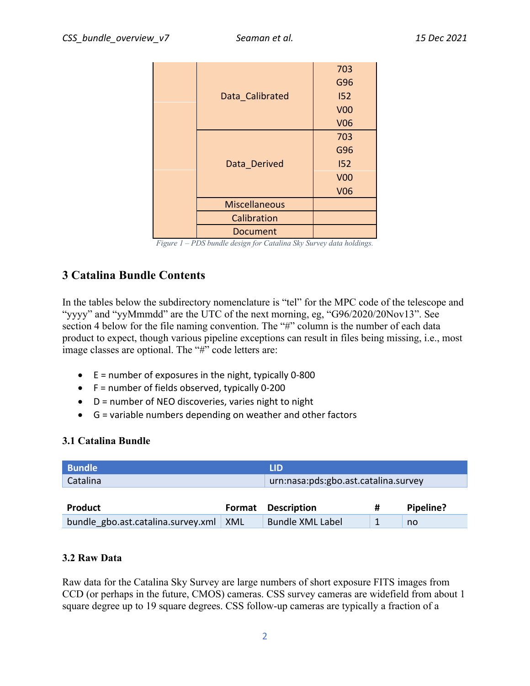|  |                      | 703        |
|--|----------------------|------------|
|  |                      | G96        |
|  | Data Calibrated      | 152        |
|  |                      | <b>V00</b> |
|  |                      | <b>V06</b> |
|  |                      | 703        |
|  | Data Derived         | G96        |
|  |                      | 152        |
|  |                      | <b>V00</b> |
|  |                      | <b>V06</b> |
|  | <b>Miscellaneous</b> |            |
|  | Calibration          |            |
|  | Document             |            |

| Figure 1 - PDS bundle design for Catalina Sky Survey data holdings. |  |  |  |
|---------------------------------------------------------------------|--|--|--|
|---------------------------------------------------------------------|--|--|--|

### **3 Catalina Bundle Contents**

In the tables below the subdirectory nomenclature is "tel" for the MPC code of the telescope and "yyyy" and "yyMmmdd" are the UTC of the next morning, eg, "G96/2020/20Nov13". See section 4 below for the file naming convention. The "#" column is the number of each data product to expect, though various pipeline exceptions can result in files being missing, i.e., most image classes are optional. The "#" code letters are:

- $\bullet$  E = number of exposures in the night, typically 0-800
- F = number of fields observed, typically 0-200
- D = number of NEO discoveries, varies night to night
- G = variable numbers depending on weather and other factors

#### **3.1 Catalina Bundle**

| <b>Bundle</b>                      |        | <b>LID</b>                           |              |           |  |
|------------------------------------|--------|--------------------------------------|--------------|-----------|--|
| Catalina                           |        | urn:nasa:pds:gbo.ast.catalina.survey |              |           |  |
|                                    |        |                                      |              |           |  |
| <b>Product</b>                     | Format | <b>Description</b>                   | #            | Pipeline? |  |
| bundle gbo.ast.catalina.survey.xml | XML    | <b>Bundle XML Label</b>              | $\mathbf{1}$ | no        |  |

#### **3.2 Raw Data**

Raw data for the Catalina Sky Survey are large numbers of short exposure FITS images from CCD (or perhaps in the future, CMOS) cameras. CSS survey cameras are widefield from about 1 square degree up to 19 square degrees. CSS follow-up cameras are typically a fraction of a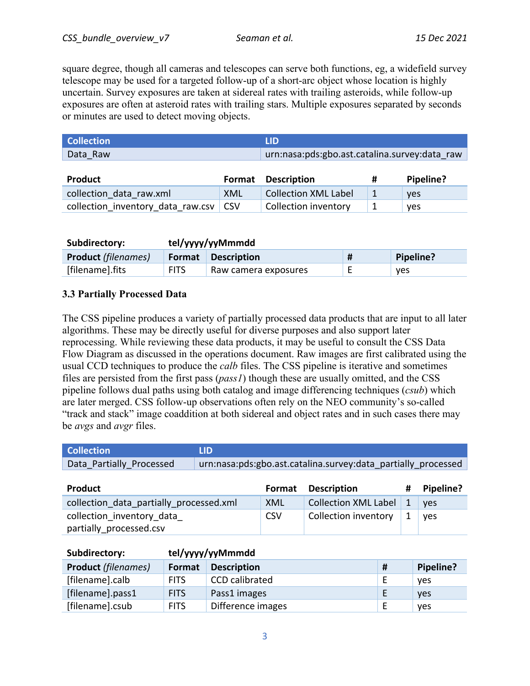square degree, though all cameras and telescopes can serve both functions, eg, a widefield survey telescope may be used for a targeted follow-up of a short-arc object whose location is highly uncertain. Survey exposures are taken at sidereal rates with trailing asteroids, while follow-up exposures are often at asteroid rates with trailing stars. Multiple exposures separated by seconds or minutes are used to detect moving objects.

| <b>Collection</b> | LID                                           |   |           |
|-------------------|-----------------------------------------------|---|-----------|
| Data Raw          | urn:nasa:pds:gbo.ast.catalina.survey:data raw |   |           |
|                   |                                               |   |           |
| <b>Product</b>    | <b>Format Description</b>                     | # | Pipeline? |
|                   |                                               |   |           |

| Product                                 |     | Format Description          | Pipeline?  |
|-----------------------------------------|-----|-----------------------------|------------|
| collection data raw.xml                 | XML | <b>Collection XML Label</b> | <b>ves</b> |
| collection inventory data raw.csv   CSV |     | Collection inventory        | yes        |

| Subdirectory:              | tel/yyyy/yyMmmdd |                      |  |            |
|----------------------------|------------------|----------------------|--|------------|
| <b>Product</b> (filenames) | Format           | <b>Description</b>   |  | Pipeline?  |
| [filename].fits            | <b>FITS</b>      | Raw camera exposures |  | <b>ves</b> |

### **3.3 Partially Processed Data**

The CSS pipeline produces a variety of partially processed data products that are input to all later algorithms. These may be directly useful for diverse purposes and also support later reprocessing. While reviewing these data products, it may be useful to consult the CSS Data Flow Diagram as discussed in the operations document. Raw images are first calibrated using the usual CCD techniques to produce the *calb* files. The CSS pipeline is iterative and sometimes files are persisted from the first pass (*pass1*) though these are usually omitted, and the CSS pipeline follows dual paths using both catalog and image differencing techniques (*csub*) which are later merged. CSS follow-up observations often rely on the NEO community's so-called "track and stack" image coaddition at both sidereal and object rates and in such cases there may be *avgs* and *avgr* files.

| <b>Collection</b>        | <b>LID</b>                                                    |
|--------------------------|---------------------------------------------------------------|
| Data Partially Processed | urn:nasa:pds:gbo.ast.catalina.survey:data partially processed |

| <b>Product</b>                          | Format     | <b>Description</b>       |              | # Pipeline? |
|-----------------------------------------|------------|--------------------------|--------------|-------------|
| collection data partially processed.xml | <b>XML</b> | Collection XML Label   1 |              | ves         |
| collection inventory data               | <b>CSV</b> | Collection inventory     | $\mathbf{1}$ | <b>ves</b>  |
| partially processed.csv                 |            |                          |              |             |

| Subdirectory:              | tel/yyyy/yyMmmdd |                       |   |            |
|----------------------------|------------------|-----------------------|---|------------|
| <b>Product (filenames)</b> | Format           | <b>Description</b>    | # | Pipeline?  |
| [filename].calb            | <b>FITS</b>      | <b>CCD</b> calibrated |   | <b>ves</b> |
| [filename].pass1           | <b>FITS</b>      | Pass1 images          |   | <b>ves</b> |
| [filename].csub            | <b>FITS</b>      | Difference images     |   | <b>ves</b> |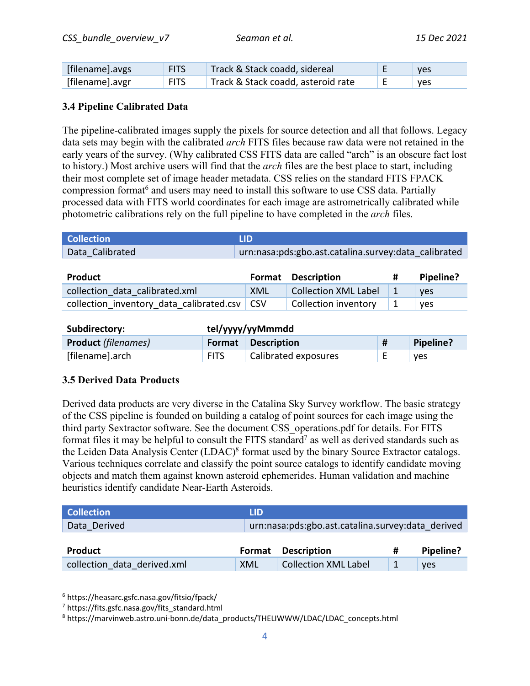| [filename].avgs | <b>FITS</b> | Track & Stack coadd, sidereal      | yes        |
|-----------------|-------------|------------------------------------|------------|
| [filename].avgr | <b>FITS</b> | Track & Stack coadd, asteroid rate | <b>ves</b> |

#### **3.4 Pipeline Calibrated Data**

The pipeline-calibrated images supply the pixels for source detection and all that follows. Legacy data sets may begin with the calibrated *arch* FITS files because raw data were not retained in the early years of the survey. (Why calibrated CSS FITS data are called "arch" is an obscure fact lost to history.) Most archive users will find that the *arch* files are the best place to start, including their most complete set of image header metadata. CSS relies on the standard FITS FPACK compression format<sup>6</sup> and users may need to install this software to use CSS data. Partially processed data with FITS world coordinates for each image are astrometrically calibrated while photometric calibrations rely on the full pipeline to have completed in the *arch* files.

| <b>Collection</b> | LID                                                  |
|-------------------|------------------------------------------------------|
| Data Calibrated   | urn:nasa:pds:gbo.ast.catalina.survey:data calibrated |

| Product                                        |     | <b>Format</b> Description            | Pipeline?  |
|------------------------------------------------|-----|--------------------------------------|------------|
| collection data calibrated.xml                 | XML | <b>Collection XML Label</b>          | <b>ves</b> |
| collection inventory data calibrated.csv   CSV |     | Collection inventory $\vert 1 \vert$ | <b>ves</b> |

| Subdirectory:              | tel/yyyy/yyMmmdd |                           |          |           |
|----------------------------|------------------|---------------------------|----------|-----------|
| <b>Product</b> (filenames) |                  | <b>Format</b> Description |          | Pipeline? |
| [filename].arch            | <b>FITS</b>      | Calibrated exposures      | <u>.</u> | yes       |

#### **3.5 Derived Data Products**

Derived data products are very diverse in the Catalina Sky Survey workflow. The basic strategy of the CSS pipeline is founded on building a catalog of point sources for each image using the third party Sextractor software. See the document CSS\_operations.pdf for details. For FITS format files it may be helpful to consult the FITS standard<sup>7</sup> as well as derived standards such as the Leiden Data Analysis Center (LDAC)<sup>8</sup> format used by the binary Source Extractor catalogs. Various techniques correlate and classify the point source catalogs to identify candidate moving objects and match them against known asteroid ephemerides. Human validation and machine heuristics identify candidate Near-Earth Asteroids.

| <b>Collection</b>           | <b>LID</b> |                                                   |   |            |
|-----------------------------|------------|---------------------------------------------------|---|------------|
| Data Derived                |            | urn:nasa:pds:gbo.ast.catalina.survey:data derived |   |            |
|                             |            |                                                   |   |            |
| <b>Product</b>              | Format     | <b>Description</b>                                | # | Pipeline?  |
| collection data derived.xml | XML        | <b>Collection XML Label</b>                       |   | <b>ves</b> |

<sup>6</sup> https://heasarc.gsfc.nasa.gov/fitsio/fpack/

<sup>&</sup>lt;sup>7</sup> https://fits.gsfc.nasa.gov/fits\_standard.html

<sup>8</sup> https://marvinweb.astro.uni-bonn.de/data\_products/THELIWWW/LDAC/LDAC\_concepts.html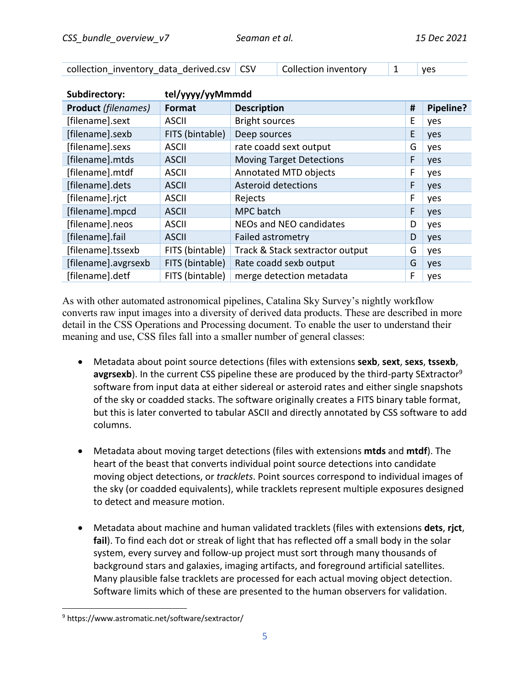| collection inventory data derived.csv CSV |  | Collection inventory   1 |  | yes |
|-------------------------------------------|--|--------------------------|--|-----|
|-------------------------------------------|--|--------------------------|--|-----|

| Subdirectory:              | tel/yyyy/yyMmmdd |                                 |   |           |  |
|----------------------------|------------------|---------------------------------|---|-----------|--|
| <b>Product</b> (filenames) | Format           | <b>Description</b>              | # | Pipeline? |  |
| [filename].sext            | <b>ASCII</b>     | <b>Bright sources</b>           | E | yes       |  |
| [filename].sexb            | FITS (bintable)  | Deep sources                    | E | yes       |  |
| [filename].sexs            | <b>ASCII</b>     | rate coadd sext output          | G | yes       |  |
| [filename].mtds            | <b>ASCII</b>     | <b>Moving Target Detections</b> | F | yes       |  |
| [filename].mtdf            | <b>ASCII</b>     | Annotated MTD objects           | F | yes       |  |
| [filename].dets            | <b>ASCII</b>     | <b>Asteroid detections</b>      | F | yes       |  |
| [filename].rjct            | <b>ASCII</b>     | Rejects                         | F | yes       |  |
| [filename].mpcd            | <b>ASCII</b>     | MPC batch                       | F | yes       |  |
| [filename].neos            | <b>ASCII</b>     | NEOs and NEO candidates         | D | yes       |  |
| [filename].fail            | <b>ASCII</b>     | Failed astrometry               | D | yes       |  |
| [filename].tssexb          | FITS (bintable)  | Track & Stack sextractor output | G | yes       |  |
| [filename].avgrsexb        | FITS (bintable)  | Rate coadd sexb output          | G | yes       |  |
| [filename].detf            | FITS (bintable)  | merge detection metadata        | F | yes       |  |

As with other automated astronomical pipelines, Catalina Sky Survey's nightly workflow converts raw input images into a diversity of derived data products. These are described in more detail in the CSS Operations and Processing document. To enable the user to understand their meaning and use, CSS files fall into a smaller number of general classes:

- Metadata about point source detections (files with extensions **sexb**, **sext**, **sexs**, **tssexb**, **avgrsexb**). In the current CSS pipeline these are produced by the third-party SExtractor<sup>9</sup> software from input data at either sidereal or asteroid rates and either single snapshots of the sky or coadded stacks. The software originally creates a FITS binary table format, but this is later converted to tabular ASCII and directly annotated by CSS software to add columns.
- Metadata about moving target detections (files with extensions **mtds** and **mtdf**). The heart of the beast that converts individual point source detections into candidate moving object detections, or *tracklets*. Point sources correspond to individual images of the sky (or coadded equivalents), while tracklets represent multiple exposures designed to detect and measure motion.
- Metadata about machine and human validated tracklets (files with extensions **dets**, **rjct**, **fail**). To find each dot or streak of light that has reflected off a small body in the solar system, every survey and follow-up project must sort through many thousands of background stars and galaxies, imaging artifacts, and foreground artificial satellites. Many plausible false tracklets are processed for each actual moving object detection. Software limits which of these are presented to the human observers for validation.

<sup>9</sup> https://www.astromatic.net/software/sextractor/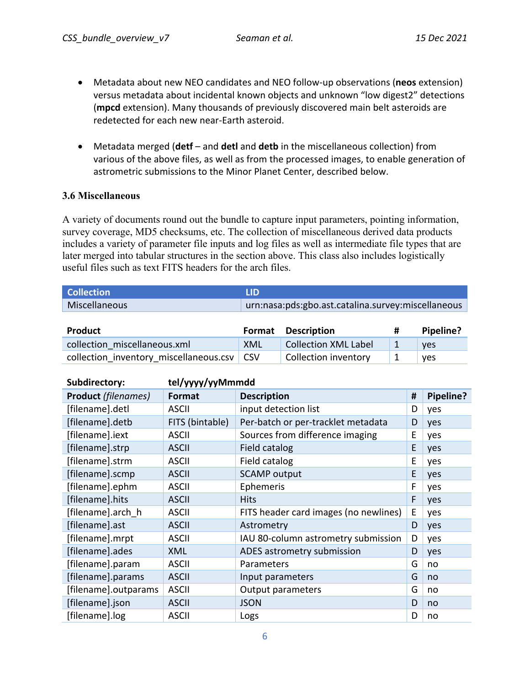- Metadata about new NEO candidates and NEO follow-up observations (**neos** extension) versus metadata about incidental known objects and unknown "low digest2" detections (**mpcd** extension). Many thousands of previously discovered main belt asteroids are redetected for each new near-Earth asteroid.
- Metadata merged (**detf** and **detl** and **detb** in the miscellaneous collection) from various of the above files, as well as from the processed images, to enable generation of astrometric submissions to the Minor Planet Center, described below.

#### **3.6 Miscellaneous**

A variety of documents round out the bundle to capture input parameters, pointing information, survey coverage, MD5 checksums, etc. The collection of miscellaneous derived data products includes a variety of parameter file inputs and log files as well as intermediate file types that are later merged into tabular structures in the section above. This class also includes logistically useful files such as text FITS headers for the arch files.

| <b>Collection</b>            | <b>LID</b> |                                                    |   |            |
|------------------------------|------------|----------------------------------------------------|---|------------|
| Miscellaneous                |            | urn:nasa:pds:gbo.ast.catalina.survey:miscellaneous |   |            |
|                              |            |                                                    |   |            |
| <b>Product</b>               | Format     | <b>Description</b>                                 | # | Pipeline?  |
| collection miscellaneous.xml | XML        | <b>Collection XML Label</b>                        |   | <b>ves</b> |

collection inventory miscellaneous.csv  $|$  CSV  $|$  Collection inventory  $|$  1 yes

| Subdirectory:              | tel/yyyy/yyMmmdd |                                       |   |           |  |  |
|----------------------------|------------------|---------------------------------------|---|-----------|--|--|
| <b>Product</b> (filenames) | Format           | <b>Description</b>                    | # | Pipeline? |  |  |
| [filename].detl            | <b>ASCII</b>     | input detection list                  | D | yes       |  |  |
| [filename].detb            | FITS (bintable)  | Per-batch or per-tracklet metadata    | D | yes       |  |  |
| [filename].iext            | <b>ASCII</b>     | Sources from difference imaging       | Е | yes       |  |  |
| [filename].strp            | <b>ASCII</b>     | Field catalog                         | E | yes       |  |  |
| [filename].strm            | <b>ASCII</b>     | Field catalog                         | E | yes       |  |  |
| [filename].scmp            | <b>ASCII</b>     | <b>SCAMP</b> output                   | E | yes       |  |  |
| [filename].ephm            | <b>ASCII</b>     | Ephemeris                             | F | yes       |  |  |
| [filename].hits            | <b>ASCII</b>     | <b>Hits</b>                           | F | yes       |  |  |
| [filename].arch h          | <b>ASCII</b>     | FITS header card images (no newlines) | E | yes       |  |  |
| [filename].ast             | <b>ASCII</b>     | Astrometry                            | D | yes       |  |  |
| [filename].mrpt            | <b>ASCII</b>     | IAU 80-column astrometry submission   | D | yes       |  |  |
| [filename].ades            | <b>XML</b>       | ADES astrometry submission            | D | yes       |  |  |
| [filename].param           | <b>ASCII</b>     | Parameters                            | G | no        |  |  |
| [filename].params          | <b>ASCII</b>     | Input parameters                      | G | no        |  |  |
| [filename].outparams       | <b>ASCII</b>     | <b>Output parameters</b>              | G | no        |  |  |
| [filename].json            | <b>ASCII</b>     | <b>JSON</b>                           | D | no        |  |  |
| [filename].log             | <b>ASCII</b>     | Logs                                  | D | no        |  |  |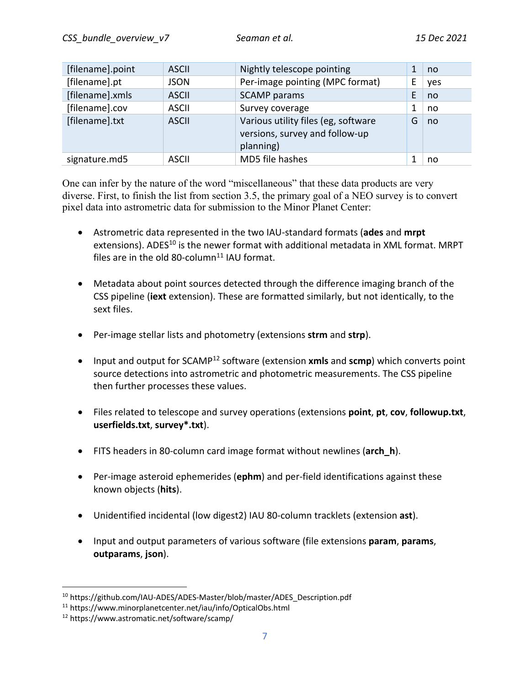| [filename].point | <b>ASCII</b> | Nightly telescope pointing                                                         |   | no  |
|------------------|--------------|------------------------------------------------------------------------------------|---|-----|
| [filename].pt    | <b>JSON</b>  | Per-image pointing (MPC format)                                                    | E | yes |
| [filename].xmls  | <b>ASCII</b> | <b>SCAMP</b> params                                                                | E | no  |
| [filename].cov   | <b>ASCII</b> | Survey coverage                                                                    | 1 | no  |
| [filename].txt   | <b>ASCII</b> | Various utility files (eg, software<br>versions, survey and follow-up<br>planning) | G | no  |
| signature.md5    | <b>ASCII</b> | MD5 file hashes                                                                    |   | no  |

One can infer by the nature of the word "miscellaneous" that these data products are very diverse. First, to finish the list from section 3.5, the primary goal of a NEO survey is to convert pixel data into astrometric data for submission to the Minor Planet Center:

- Astrometric data represented in the two IAU-standard formats (**ades** and **mrpt** extensions). ADES<sup>10</sup> is the newer format with additional metadata in XML format. MRPT files are in the old 80-column $^{11}$  IAU format.
- Metadata about point sources detected through the difference imaging branch of the CSS pipeline (**iext** extension). These are formatted similarly, but not identically, to the sext files.
- Per-image stellar lists and photometry (extensions **strm** and **strp**).
- Input and output for SCAMP<sup>12</sup> software (extension **xmls** and **scmp**) which converts point source detections into astrometric and photometric measurements. The CSS pipeline then further processes these values.
- Files related to telescope and survey operations (extensions **point**, **pt**, **cov**, **followup.txt**, **userfields.txt**, **survey\*.txt**).
- FITS headers in 80-column card image format without newlines (**arch\_h**).
- Per-image asteroid ephemerides (**ephm**) and per-field identifications against these known objects (**hits**).
- Unidentified incidental (low digest2) IAU 80-column tracklets (extension **ast**).
- Input and output parameters of various software (file extensions **param**, **params**, **outparams**, **json**).

<sup>10</sup> https://github.com/IAU-ADES/ADES-Master/blob/master/ADES\_Description.pdf

<sup>11</sup> https://www.minorplanetcenter.net/iau/info/OpticalObs.html

<sup>12</sup> https://www.astromatic.net/software/scamp/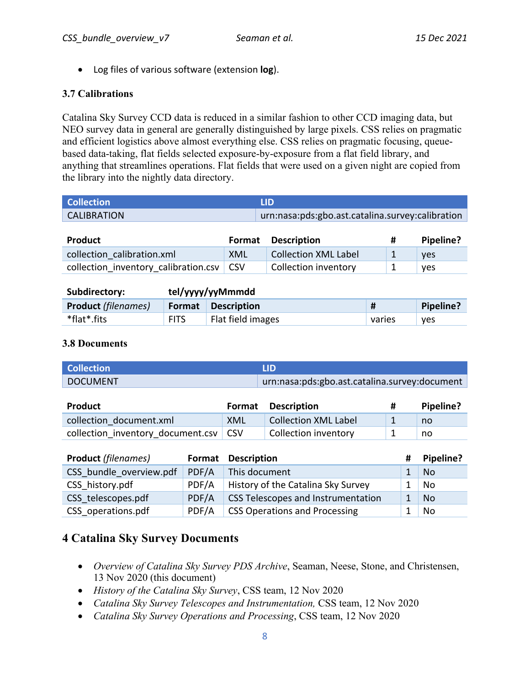• Log files of various software (extension **log**).

### **3.7 Calibrations**

Catalina Sky Survey CCD data is reduced in a similar fashion to other CCD imaging data, but NEO survey data in general are generally distinguished by large pixels. CSS relies on pragmatic and efficient logistics above almost everything else. CSS relies on pragmatic focusing, queuebased data-taking, flat fields selected exposure-by-exposure from a flat field library, and anything that streamlines operations. Flat fields that were used on a given night are copied from the library into the nightly data directory.

| <b>Collection</b>  | HD.                                              |
|--------------------|--------------------------------------------------|
| <b>CALIBRATION</b> | urn:nasa:pds:gbo.ast.catalina.survey:calibration |

| <b>Product</b>                             | <b>Format</b> | <b>Description</b>          | Pipeline? |
|--------------------------------------------|---------------|-----------------------------|-----------|
| collection calibration.xml                 | XML           | <b>Collection XML Label</b> | ves       |
| collection inventory calibration.csv   CSV |               | Collection inventory        | ves       |

| Subdirectory:              | tel/yyyy/yyMmmdd |                    |        |           |
|----------------------------|------------------|--------------------|--------|-----------|
| <b>Product</b> (filenames) | Format           | <b>Description</b> |        | Pipeline? |
| *flat*.fits                | <b>FITS</b>      | Flat field images  | varies | ves       |

### **3.8 Documents**

| <b>Collection</b> | .LID                                          |
|-------------------|-----------------------------------------------|
| <b>DOCUMENT</b>   | urn:nasa:pds:gbo.ast.catalina.survey:document |

| Product                                 |     | <b>Format Description</b>   | Pipeline? |
|-----------------------------------------|-----|-----------------------------|-----------|
| collection document.xml                 | XML | <b>Collection XML Label</b> | no        |
| collection inventory document.csv   CSV |     | Collection inventory        | no        |

| <b>Product</b> (filenames) | Format | <b>Description</b>                   | Pipeline? |
|----------------------------|--------|--------------------------------------|-----------|
| CSS bundle overview.pdf    | PDF/A  | This document                        | <b>No</b> |
| CSS history.pdf            | PDF/A  | History of the Catalina Sky Survey   | No        |
| CSS telescopes.pdf         | PDF/A  | CSS Telescopes and Instrumentation   | <b>No</b> |
| CSS operations.pdf         | PDF/A  | <b>CSS Operations and Processing</b> | <b>No</b> |

# **4 Catalina Sky Survey Documents**

- *Overview of Catalina Sky Survey PDS Archive*, Seaman, Neese, Stone, and Christensen, 13 Nov 2020 (this document)
- *History of the Catalina Sky Survey*, CSS team, 12 Nov 2020
- *Catalina Sky Survey Telescopes and Instrumentation,* CSS team, 12 Nov 2020
- *Catalina Sky Survey Operations and Processing*, CSS team, 12 Nov 2020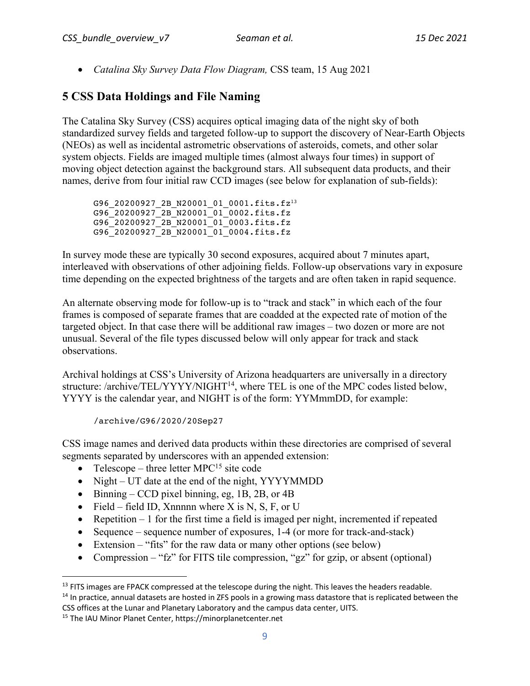• *Catalina Sky Survey Data Flow Diagram,* CSS team, 15 Aug 2021

# **5 CSS Data Holdings and File Naming**

The Catalina Sky Survey (CSS) acquires optical imaging data of the night sky of both standardized survey fields and targeted follow-up to support the discovery of Near-Earth Objects (NEOs) as well as incidental astrometric observations of asteroids, comets, and other solar system objects. Fields are imaged multiple times (almost always four times) in support of moving object detection against the background stars. All subsequent data products, and their names, derive from four initial raw CCD images (see below for explanation of sub-fields):

G96 20200927 2B N20001 01 0001.fits.fz<sup>13</sup> G96\_20200927\_2B\_N20001\_01\_0002.fits.fz G96\_20200927\_2B\_N20001\_01\_0003.fits.fz G96\_20200927\_2B\_N20001\_01\_0004.fits.fz

In survey mode these are typically 30 second exposures, acquired about 7 minutes apart, interleaved with observations of other adjoining fields. Follow-up observations vary in exposure time depending on the expected brightness of the targets and are often taken in rapid sequence.

An alternate observing mode for follow-up is to "track and stack" in which each of the four frames is composed of separate frames that are coadded at the expected rate of motion of the targeted object. In that case there will be additional raw images – two dozen or more are not unusual. Several of the file types discussed below will only appear for track and stack observations.

Archival holdings at CSS's University of Arizona headquarters are universally in a directory structure: /archive/TEL/YYYY/NIGHT<sup>14</sup>, where TEL is one of the MPC codes listed below, YYYY is the calendar year, and NIGHT is of the form: YYMmmDD, for example:

/archive/G96/2020/20Sep27

CSS image names and derived data products within these directories are comprised of several segments separated by underscores with an appended extension:

- Telescope three letter  $MPC^{15}$  site code
- Night UT date at the end of the night, YYYYMMDD
- Binning CCD pixel binning, eg, 1B, 2B, or 4B
- Field field ID, Xnnnnn where X is N, S, F, or U
- Repetition 1 for the first time a field is imaged per night, incremented if repeated
- Sequence sequence number of exposures, 1-4 (or more for track-and-stack)
- Extension "fits" for the raw data or many other options (see below)
- Compression "fz" for FITS tile compression, "gz" for gzip, or absent (optional)

 $<sup>13</sup>$  FITS images are FPACK compressed at the telescope during the night. This leaves the headers readable.</sup>

<sup>&</sup>lt;sup>14</sup> In practice, annual datasets are hosted in ZFS pools in a growing mass datastore that is replicated between the CSS offices at the Lunar and Planetary Laboratory and the campus data center, UITS.

<sup>15</sup> The IAU Minor Planet Center, https://minorplanetcenter.net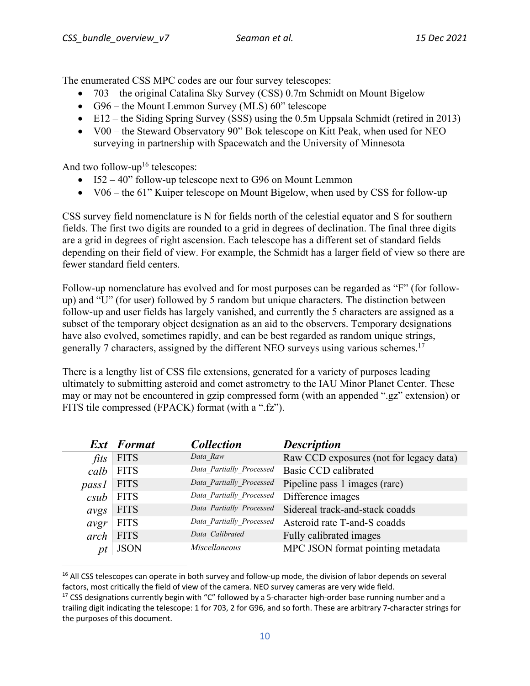The enumerated CSS MPC codes are our four survey telescopes:

- 703 the original Catalina Sky Survey (CSS) 0.7m Schmidt on Mount Bigelow
- G96 the Mount Lemmon Survey (MLS) 60" telescope
- E12 the Siding Spring Survey (SSS) using the 0.5m Uppsala Schmidt (retired in 2013)
- V00 the Steward Observatory 90" Bok telescope on Kitt Peak, when used for NEO surveying in partnership with Spacewatch and the University of Minnesota

And two follow-up<sup>16</sup> telescopes:

- I52 40" follow-up telescope next to G96 on Mount Lemmon
- V06 the 61" Kuiper telescope on Mount Bigelow, when used by CSS for follow-up

CSS survey field nomenclature is N for fields north of the celestial equator and S for southern fields. The first two digits are rounded to a grid in degrees of declination. The final three digits are a grid in degrees of right ascension. Each telescope has a different set of standard fields depending on their field of view. For example, the Schmidt has a larger field of view so there are fewer standard field centers.

Follow-up nomenclature has evolved and for most purposes can be regarded as "F" (for followup) and "U" (for user) followed by 5 random but unique characters. The distinction between follow-up and user fields has largely vanished, and currently the 5 characters are assigned as a subset of the temporary object designation as an aid to the observers. Temporary designations have also evolved, sometimes rapidly, and can be best regarded as random unique strings, generally 7 characters, assigned by the different NEO surveys using various schemes.<sup>17</sup>

There is a lengthy list of CSS file extensions, generated for a variety of purposes leading ultimately to submitting asteroid and comet astrometry to the IAU Minor Planet Center. These may or may not be encountered in gzip compressed form (with an appended ".gz" extension) or FITS tile compressed (FPACK) format (with a ".fz").

|       | <b>Ext</b> Format | <b>Collection</b>        | <b>Description</b>                      |
|-------|-------------------|--------------------------|-----------------------------------------|
| fits  | <b>FITS</b>       | Data Raw                 | Raw CCD exposures (not for legacy data) |
| calb  | <b>FITS</b>       | Data Partially Processed | <b>Basic CCD calibrated</b>             |
| pass1 | <b>FITS</b>       | Data_Partially_Processed | Pipeline pass 1 images (rare)           |
| csub  | <b>FITS</b>       | Data Partially Processed | Difference images                       |
| avgs  | <b>FITS</b>       | Data Partially Processed | Sidereal track-and-stack coadds         |
| avgr  | <b>FITS</b>       | Data_Partially_Processed | Asteroid rate T-and-S coadds            |
| arch  | <b>FITS</b>       | Data Calibrated          | Fully calibrated images                 |
| pt    | <b>JSON</b>       | <i>Miscellaneous</i>     | MPC JSON format pointing metadata       |

<sup>&</sup>lt;sup>16</sup> All CSS telescopes can operate in both survey and follow-up mode, the division of labor depends on several factors, most critically the field of view of the camera. NEO survey cameras are very wide field.

 $17$  CSS designations currently begin with "C" followed by a 5-character high-order base running number and a trailing digit indicating the telescope: 1 for 703, 2 for G96, and so forth. These are arbitrary 7-character strings for the purposes of this document.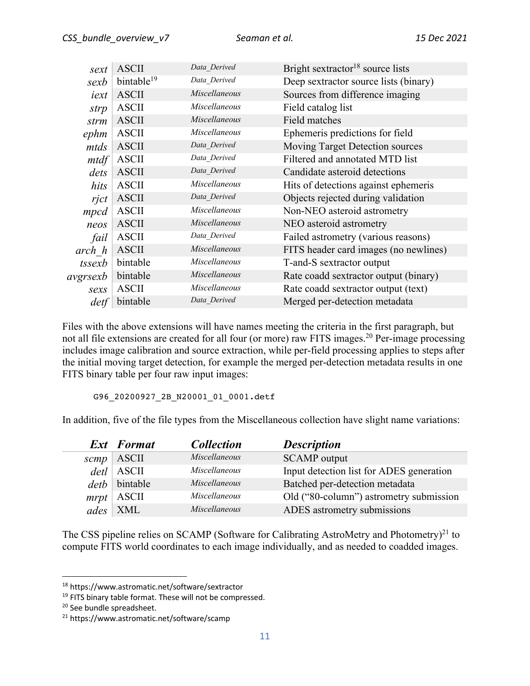| sext     | <b>ASCII</b>           | Data Derived         | Bright sextractor <sup>18</sup> source lists |
|----------|------------------------|----------------------|----------------------------------------------|
| sexb     | bintable <sup>19</sup> | Data_Derived         | Deep sextractor source lists (binary)        |
| iext     | <b>ASCII</b>           | <i>Miscellaneous</i> | Sources from difference imaging              |
| strp     | <b>ASCII</b>           | <i>Miscellaneous</i> | Field catalog list                           |
| strm     | <b>ASCII</b>           | Miscellaneous        | <b>Field matches</b>                         |
| ephm     | <b>ASCII</b>           | <i>Miscellaneous</i> | Ephemeris predictions for field              |
| mtds     | <b>ASCII</b>           | Data Derived         | Moving Target Detection sources              |
| mtdf     | <b>ASCII</b>           | Data_Derived         | Filtered and annotated MTD list              |
| dets     | <b>ASCII</b>           | Data Derived         | Candidate asteroid detections                |
| hits     | <b>ASCII</b>           | Miscellaneous        | Hits of detections against ephemeris         |
| rjct     | <b>ASCII</b>           | Data Derived         | Objects rejected during validation           |
| mpcd     | <b>ASCII</b>           | Miscellaneous        | Non-NEO asteroid astrometry                  |
| neos     | <b>ASCII</b>           | <i>Miscellaneous</i> | NEO asteroid astrometry                      |
| fail     | <b>ASCII</b>           | Data_Derived         | Failed astrometry (various reasons)          |
| arch h   | <b>ASCII</b>           | Miscellaneous        | FITS header card images (no newlines)        |
| tssexb   | bintable               | Miscellaneous        | T-and-S sextractor output                    |
| avgrsexb | bintable               | Miscellaneous        | Rate coadd sextractor output (binary)        |
| sexs     | <b>ASCII</b>           | Miscellaneous        | Rate coadd sextractor output (text)          |
| det f    | bintable               | Data Derived         | Merged per-detection metadata                |

Files with the above extensions will have names meeting the criteria in the first paragraph, but not all file extensions are created for all four (or more) raw FITS images.<sup>20</sup> Per-image processing includes image calibration and source extraction, while per-field processing applies to steps after the initial moving target detection, for example the merged per-detection metadata results in one FITS binary table per four raw input images:

G96 20200927 2B N20001 01 0001.detf

In addition, five of the file types from the Miscellaneous collection have slight name variations:

|      | <b>Ext</b> Format | <b>Collection</b> | <b>Description</b>                       |
|------|-------------------|-------------------|------------------------------------------|
| scmp | ASCII             | Miscellaneous     | <b>SCAMP</b> output                      |
| detl | <b>ASCII</b>      | Miscellaneous     | Input detection list for ADES generation |
| deth | bintable          | Miscellaneous     | Batched per-detection metadata           |
| mrpt | $^+$ ASCII        | Miscellaneous     | Old ("80-column") astrometry submission  |
| ades | <b>XML</b>        | Miscellaneous     | ADES astrometry submissions              |

The CSS pipeline relies on SCAMP (Software for Calibrating AstroMetry and Photometry)<sup>21</sup> to compute FITS world coordinates to each image individually, and as needed to coadded images.

<sup>18</sup> https://www.astromatic.net/software/sextractor

<sup>&</sup>lt;sup>19</sup> FITS binary table format. These will not be compressed.

<sup>20</sup> See bundle spreadsheet.

<sup>21</sup> https://www.astromatic.net/software/scamp